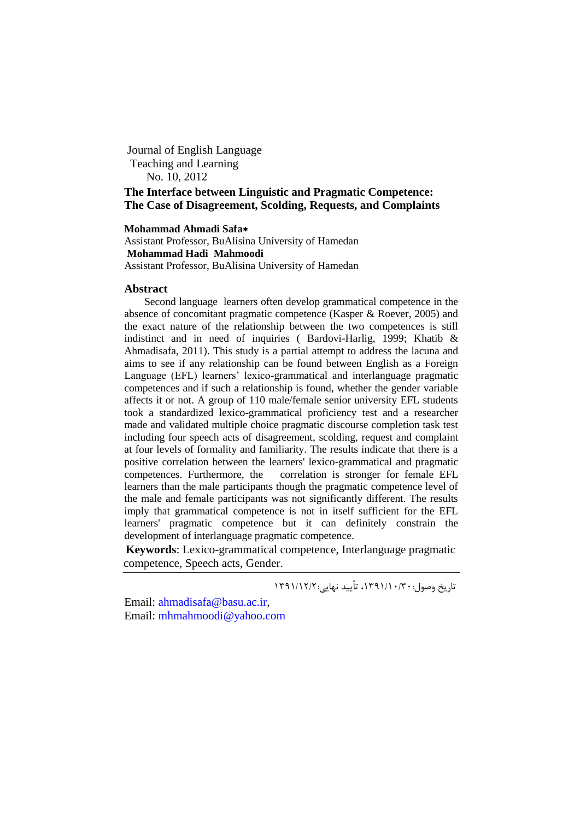Journal of English Language Teaching and Learning No. 10, 2012

**The Interface between Linguistic and Pragmatic Competence: The Case of Disagreement, Scolding, Requests, and Complaints**

# **Mohammad Ahmadi Safa**

Assistant Professor, BuAlisina University of Hamedan **Mohammad Hadi Mahmoodi** Assistant Professor, BuAlisina University of Hamedan

#### **Abstract**

Second language learners often develop grammatical competence in the absence of concomitant pragmatic competence (Kasper & Roever, 2005) and the exact nature of the relationship between the two competences is still indistinct and in need of inquiries ( Bardovi-Harlig, 1999; Khatib & Ahmadisafa, 2011). This study is a partial attempt to address the lacuna and aims to see if any relationship can be found between English as a Foreign Language (EFL) learners' lexico-grammatical and interlanguage pragmatic competences and if such a relationship is found, whether the gender variable affects it or not. A group of 110 male/female senior university EFL students took a standardized lexico-grammatical proficiency test and a researcher made and validated multiple choice pragmatic discourse completion task test including four speech acts of disagreement, scolding, request and complaint at four levels of formality and familiarity. The results indicate that there is a positive correlation between the learners' lexico-grammatical and pragmatic competences. Furthermore, the correlation is stronger for female EFL learners than the male participants though the pragmatic competence level of the male and female participants was not significantly different. The results imply that grammatical competence is not in itself sufficient for the EFL learners' pragmatic competence but it can definitely constrain the development of interlanguage pragmatic competence.

**Keywords**: Lexico-grammatical competence, Interlanguage pragmatic competence, Speech acts, Gender.

تاریخ وصول:۱۳۹۱/۱۰/۳۰، تأیید نهایی:۱۳۹۱/۱۲/۲

Email: [ahmadisafa@basu.ac.ir,](mailto:ahmadisafa@basu.ac.ir) Email: [mhmahmoodi@yahoo.com](mailto:mhmahmoodi@yahoo.com)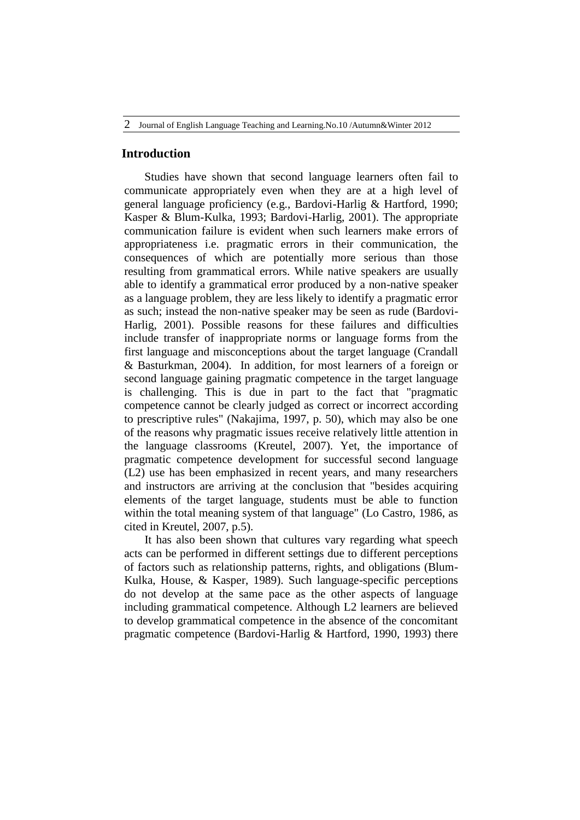## **Introduction**

Studies have shown that second language learners often fail to communicate appropriately even when they are at a high level of general language proficiency (e.g., Bardovi-Harlig & Hartford, 1990; Kasper & Blum-Kulka, 1993; Bardovi-Harlig, 2001). The appropriate communication failure is evident when such learners make errors of appropriateness i.e. pragmatic errors in their communication, the consequences of which are potentially more serious than those resulting from grammatical errors. While native speakers are usually able to identify a grammatical error produced by a non-native speaker as a language problem, they are less likely to identify a pragmatic error as such; instead the non-native speaker may be seen as rude (Bardovi-Harlig, 2001). Possible reasons for these failures and difficulties include transfer of inappropriate norms or language forms from the first language and misconceptions about the target language (Crandall & Basturkman, 2004). In addition, for most learners of a foreign or second language gaining pragmatic competence in the target language is challenging. This is due in part to the fact that "pragmatic competence cannot be clearly judged as correct or incorrect according to prescriptive rules" (Nakajima, 1997, p. 50), which may also be one of the reasons why pragmatic issues receive relatively little attention in the language classrooms (Kreutel, 2007). Yet, the importance of pragmatic competence development for successful second language (L2) use has been emphasized in recent years, and many researchers and instructors are arriving at the conclusion that "besides acquiring elements of the target language, students must be able to function within the total meaning system of that language" (Lo Castro, 1986, as cited in Kreutel, 2007, p.5).

It has also been shown that cultures vary regarding what speech acts can be performed in different settings due to different perceptions of factors such as relationship patterns, rights, and obligations (Blum-Kulka, House, & Kasper, 1989). Such language-specific perceptions do not develop at the same pace as the other aspects of language including grammatical competence. Although L2 learners are believed to develop grammatical competence in the absence of the concomitant pragmatic competence (Bardovi-Harlig & Hartford, 1990, 1993) there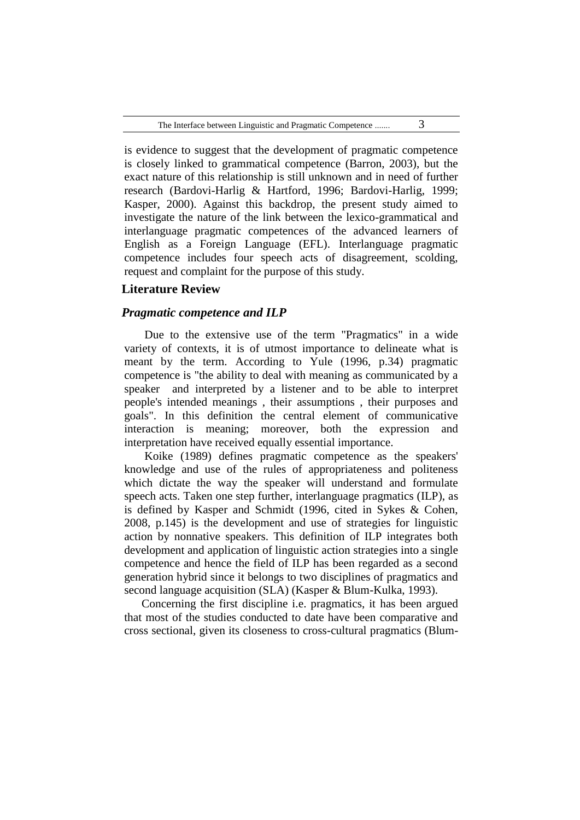is evidence to suggest that the development of pragmatic competence is closely linked to grammatical competence (Barron, 2003), but the exact nature of this relationship is still unknown and in need of further research (Bardovi-Harlig & Hartford, 1996; Bardovi-Harlig, 1999; Kasper, 2000). Against this backdrop, the present study aimed to investigate the nature of the link between the lexico-grammatical and interlanguage pragmatic competences of the advanced learners of English as a Foreign Language (EFL). Interlanguage pragmatic competence includes four speech acts of disagreement, scolding, request and complaint for the purpose of this study.

# **Literature Review**

# *Pragmatic competence and ILP*

Due to the extensive use of the term "Pragmatics" in a wide variety of contexts, it is of utmost importance to delineate what is meant by the term. According to Yule (1996, p.34) pragmatic competence is "the ability to deal with meaning as communicated by a speaker and interpreted by a listener and to be able to interpret people's intended meanings , their assumptions , their purposes and goals". In this definition the central element of communicative interaction is meaning; moreover, both the expression and interpretation have received equally essential importance.

Koike (1989) defines pragmatic competence as the speakers' knowledge and use of the rules of appropriateness and politeness which dictate the way the speaker will understand and formulate speech acts. Taken one step further, interlanguage pragmatics (ILP), as is defined by Kasper and Schmidt (1996, cited in Sykes & Cohen, 2008, p.145) is the development and use of strategies for linguistic action by nonnative speakers. This definition of ILP integrates both development and application of linguistic action strategies into a single competence and hence the field of ILP has been regarded as a second generation hybrid since it belongs to two disciplines of pragmatics and second language acquisition (SLA) (Kasper & Blum-Kulka, 1993).

Concerning the first discipline i.e. pragmatics, it has been argued that most of the studies conducted to date have been comparative and cross sectional, given its closeness to cross-cultural pragmatics (Blum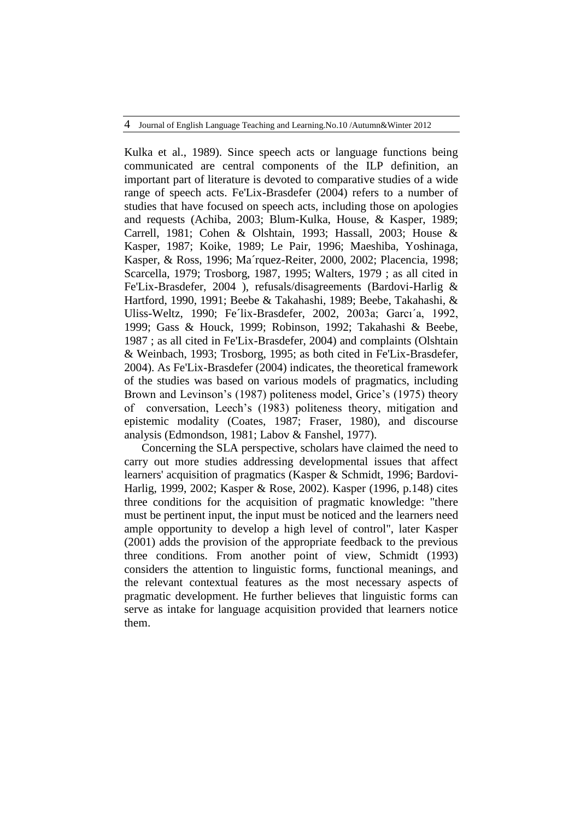Kulka et al., 1989). Since speech acts or language functions being communicated are central components of the ILP definition, an important part of literature is devoted to comparative studies of a wide range of speech acts. Fe'Lix-Brasdefer (2004) refers to a number of studies that have focused on speech acts, including those on apologies and requests (Achiba, 2003; Blum-Kulka, House, & Kasper, 1989; Carrell, 1981; Cohen & Olshtain, 1993; Hassall, 2003; House & Kasper, 1987; Koike, 1989; Le Pair, 1996; Maeshiba, Yoshinaga, Kasper, & Ross, 1996; Ma´rquez-Reiter, 2000, 2002; Placencia, 1998; Scarcella, 1979; Trosborg, 1987, 1995; Walters, 1979 ; as all cited in Fe'Lix-Brasdefer, 2004 ), refusals/disagreements (Bardovi-Harlig & Hartford, 1990, 1991; Beebe & Takahashi, 1989; Beebe, Takahashi, & Uliss-Weltz, 1990; Fe´lix-Brasdefer, 2002, 2003a; Garcı´a, 1992, 1999; Gass & Houck, 1999; Robinson, 1992; Takahashi & Beebe, 1987 ; as all cited in Fe'Lix-Brasdefer, 2004) and complaints (Olshtain & Weinbach, 1993; Trosborg, 1995; as both cited in Fe'Lix-Brasdefer, 2004). As Fe'Lix-Brasdefer (2004) indicates, the theoretical framework of the studies was based on various models of pragmatics, including Brown and Levinson's (1987) politeness model, Grice's (1975) theory of conversation, Leech's (1983) politeness theory, mitigation and epistemic modality (Coates, 1987; Fraser, 1980), and discourse analysis (Edmondson, 1981; Labov & Fanshel, 1977).

Concerning the SLA perspective, scholars have claimed the need to carry out more studies addressing developmental issues that affect learners' acquisition of pragmatics (Kasper & Schmidt, 1996; Bardovi-Harlig, 1999, 2002; Kasper & Rose, 2002). Kasper (1996, p.148) cites three conditions for the acquisition of pragmatic knowledge: "there must be pertinent input, the input must be noticed and the learners need ample opportunity to develop a high level of control", later Kasper (2001) adds the provision of the appropriate feedback to the previous three conditions. From another point of view, Schmidt (1993) considers the attention to linguistic forms, functional meanings, and the relevant contextual features as the most necessary aspects of pragmatic development. He further believes that linguistic forms can serve as intake for language acquisition provided that learners notice them.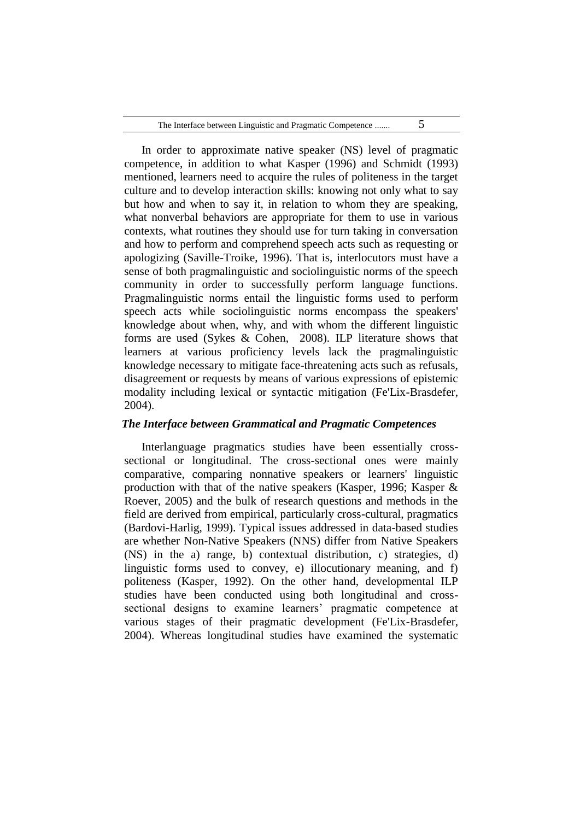| The Interface between Linguistic and Pragmatic Competence |  |
|-----------------------------------------------------------|--|
|-----------------------------------------------------------|--|

In order to approximate native speaker (NS) level of pragmatic competence, in addition to what Kasper (1996) and Schmidt (1993) mentioned, learners need to acquire the rules of politeness in the target culture and to develop interaction skills: knowing not only what to say but how and when to say it, in relation to whom they are speaking, what nonverbal behaviors are appropriate for them to use in various contexts, what routines they should use for turn taking in conversation and how to perform and comprehend speech acts such as requesting or apologizing (Saville-Troike, 1996). That is, interlocutors must have a sense of both pragmalinguistic and sociolinguistic norms of the speech community in order to successfully perform language functions. Pragmalinguistic norms entail the linguistic forms used to perform speech acts while sociolinguistic norms encompass the speakers' knowledge about when, why, and with whom the different linguistic forms are used (Sykes & Cohen, 2008). ILP literature shows that learners at various proficiency levels lack the pragmalinguistic knowledge necessary to mitigate face-threatening acts such as refusals, disagreement or requests by means of various expressions of epistemic modality including lexical or syntactic mitigation (Fe'Lix-Brasdefer, 2004).

## *The Interface between Grammatical and Pragmatic Competences*

Interlanguage pragmatics studies have been essentially crosssectional or longitudinal. The cross-sectional ones were mainly comparative, comparing nonnative speakers or learners' linguistic production with that of the native speakers (Kasper, 1996; Kasper & Roever, 2005) and the bulk of research questions and methods in the field are derived from empirical, particularly cross-cultural, pragmatics (Bardovi-Harlig, 1999). Typical issues addressed in data-based studies are whether Non-Native Speakers (NNS) differ from Native Speakers (NS) in the a) range, b) contextual distribution, c) strategies, d) linguistic forms used to convey, e) illocutionary meaning, and f) politeness (Kasper, 1992). On the other hand, developmental ILP studies have been conducted using both longitudinal and crosssectional designs to examine learners' pragmatic competence at various stages of their pragmatic development (Fe'Lix-Brasdefer, 2004). Whereas longitudinal studies have examined the systematic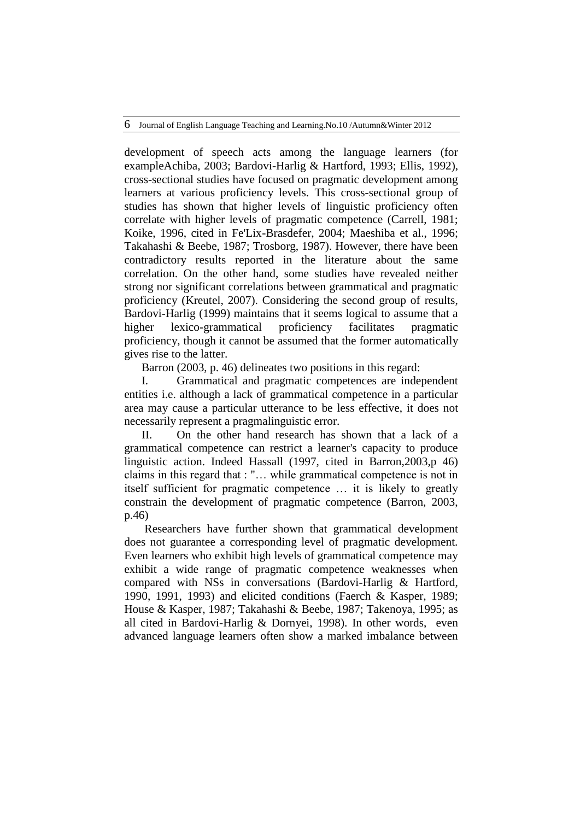development of speech acts among the language learners (for exampleAchiba, 2003; Bardovi-Harlig & Hartford, 1993; Ellis, 1992), cross-sectional studies have focused on pragmatic development among learners at various proficiency levels. This cross-sectional group of studies has shown that higher levels of linguistic proficiency often correlate with higher levels of pragmatic competence (Carrell, 1981; Koike, 1996, cited in Fe'Lix-Brasdefer, 2004; Maeshiba et al., 1996; Takahashi & Beebe, 1987; Trosborg, 1987). However, there have been contradictory results reported in the literature about the same correlation. On the other hand, some studies have revealed neither strong nor significant correlations between grammatical and pragmatic proficiency (Kreutel, 2007). Considering the second group of results, Bardovi-Harlig (1999) maintains that it seems logical to assume that a higher lexico-grammatical proficiency facilitates pragmatic proficiency, though it cannot be assumed that the former automatically gives rise to the latter.

Barron (2003, p. 46) delineates two positions in this regard:

I. Grammatical and pragmatic competences are independent entities i.e. although a lack of grammatical competence in a particular area may cause a particular utterance to be less effective, it does not necessarily represent a pragmalinguistic error.

II. On the other hand research has shown that a lack of a grammatical competence can restrict a learner's capacity to produce linguistic action. Indeed Hassall (1997, cited in Barron,2003,p 46) claims in this regard that : "… while grammatical competence is not in itself sufficient for pragmatic competence … it is likely to greatly constrain the development of pragmatic competence (Barron, 2003, p.46)

Researchers have further shown that grammatical development does not guarantee a corresponding level of pragmatic development. Even learners who exhibit high levels of grammatical competence may exhibit a wide range of pragmatic competence weaknesses when compared with NSs in conversations (Bardovi-Harlig & Hartford, 1990, 1991, 1993) and elicited conditions (Faerch & Kasper, 1989; House & Kasper, 1987; Takahashi & Beebe, 1987; Takenoya, 1995; as all cited in Bardovi-Harlig & Dornyei, 1998). In other words, even advanced language learners often show a marked imbalance between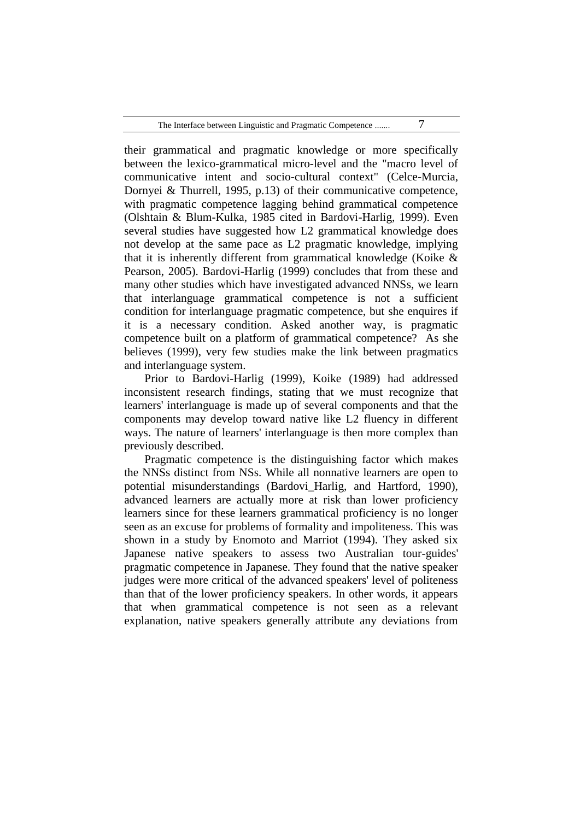| The Interface between Linguistic and Pragmatic Competence |  |
|-----------------------------------------------------------|--|
|-----------------------------------------------------------|--|

their grammatical and pragmatic knowledge or more specifically between the lexico-grammatical micro-level and the "macro level of communicative intent and socio-cultural context" (Celce-Murcia, Dornyei & Thurrell, 1995, p.13) of their communicative competence, with pragmatic competence lagging behind grammatical competence (Olshtain & Blum-Kulka, 1985 cited in Bardovi-Harlig, 1999). Even several studies have suggested how L2 grammatical knowledge does not develop at the same pace as L2 pragmatic knowledge, implying that it is inherently different from grammatical knowledge (Koike & Pearson, 2005). Bardovi-Harlig (1999) concludes that from these and many other studies which have investigated advanced NNSs, we learn that interlanguage grammatical competence is not a sufficient condition for interlanguage pragmatic competence, but she enquires if it is a necessary condition. Asked another way, is pragmatic competence built on a platform of grammatical competence? As she believes (1999), very few studies make the link between pragmatics and interlanguage system.

Prior to Bardovi-Harlig (1999), Koike (1989) had addressed inconsistent research findings, stating that we must recognize that learners' interlanguage is made up of several components and that the components may develop toward native like L2 fluency in different ways. The nature of learners' interlanguage is then more complex than previously described.

Pragmatic competence is the distinguishing factor which makes the NNSs distinct from NSs. While all nonnative learners are open to potential misunderstandings (Bardovi\_Harlig, and Hartford, 1990), advanced learners are actually more at risk than lower proficiency learners since for these learners grammatical proficiency is no longer seen as an excuse for problems of formality and impoliteness. This was shown in a study by Enomoto and Marriot (1994). They asked six Japanese native speakers to assess two Australian tour-guides' pragmatic competence in Japanese. They found that the native speaker judges were more critical of the advanced speakers' level of politeness than that of the lower proficiency speakers. In other words, it appears that when grammatical competence is not seen as a relevant explanation, native speakers generally attribute any deviations from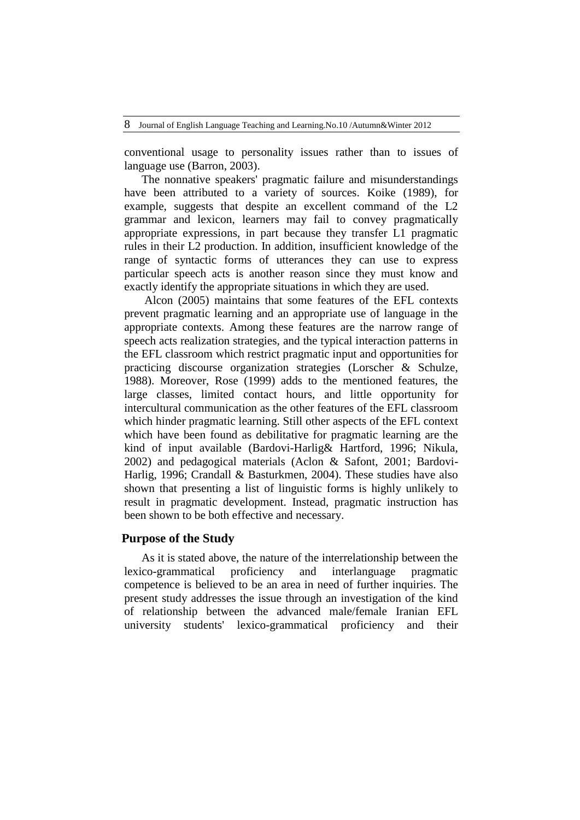conventional usage to personality issues rather than to issues of language use (Barron, 2003).

The nonnative speakers' pragmatic failure and misunderstandings have been attributed to a variety of sources. Koike (1989), for example, suggests that despite an excellent command of the L2 grammar and lexicon, learners may fail to convey pragmatically appropriate expressions, in part because they transfer L1 pragmatic rules in their L2 production. In addition, insufficient knowledge of the range of syntactic forms of utterances they can use to express particular speech acts is another reason since they must know and exactly identify the appropriate situations in which they are used.

Alcon (2005) maintains that some features of the EFL contexts prevent pragmatic learning and an appropriate use of language in the appropriate contexts. Among these features are the narrow range of speech acts realization strategies, and the typical interaction patterns in the EFL classroom which restrict pragmatic input and opportunities for practicing discourse organization strategies (Lorscher & Schulze, 1988). Moreover, Rose (1999) adds to the mentioned features, the large classes, limited contact hours, and little opportunity for intercultural communication as the other features of the EFL classroom which hinder pragmatic learning. Still other aspects of the EFL context which have been found as debilitative for pragmatic learning are the kind of input available (Bardovi-Harlig& Hartford, 1996; Nikula, 2002) and pedagogical materials (Aclon & Safont, 2001; Bardovi-Harlig, 1996; Crandall & Basturkmen, 2004). These studies have also shown that presenting a list of linguistic forms is highly unlikely to result in pragmatic development. Instead, pragmatic instruction has been shown to be both effective and necessary.

## **Purpose of the Study**

As it is stated above, the nature of the interrelationship between the lexico-grammatical proficiency and interlanguage pragmatic competence is believed to be an area in need of further inquiries. The present study addresses the issue through an investigation of the kind of relationship between the advanced male/female Iranian EFL university students' lexico-grammatical proficiency and their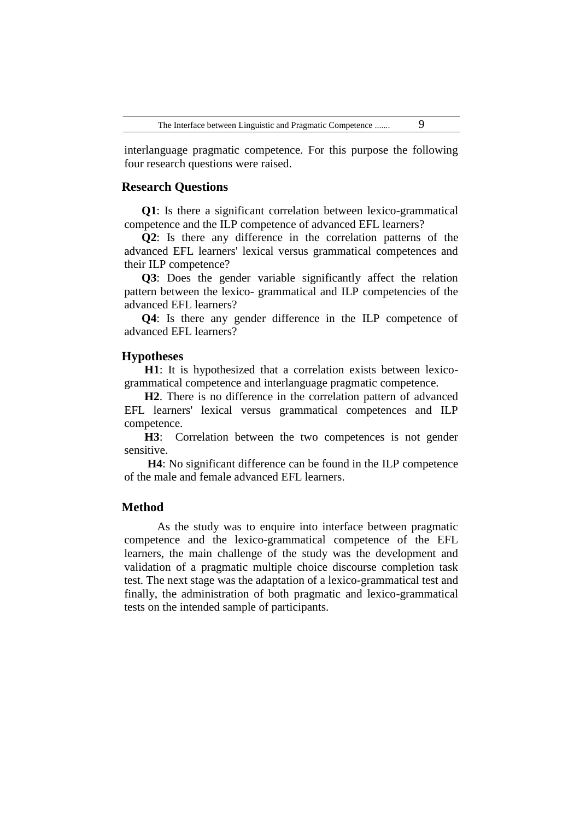interlanguage pragmatic competence. For this purpose the following four research questions were raised.

# **Research Questions**

**Q1**: Is there a significant correlation between lexico-grammatical competence and the ILP competence of advanced EFL learners?

**Q2**: Is there any difference in the correlation patterns of the advanced EFL learners' lexical versus grammatical competences and their ILP competence?

**Q3**: Does the gender variable significantly affect the relation pattern between the lexico- grammatical and ILP competencies of the advanced EFL learners?

**Q4**: Is there any gender difference in the ILP competence of advanced EFL learners?

# **Hypotheses**

**H1**: It is hypothesized that a correlation exists between lexicogrammatical competence and interlanguage pragmatic competence.

**H2**. There is no difference in the correlation pattern of advanced EFL learners' lexical versus grammatical competences and ILP competence.

**H3**: Correlation between the two competences is not gender sensitive.

 **H4**: No significant difference can be found in the ILP competence of the male and female advanced EFL learners.

## **Method**

As the study was to enquire into interface between pragmatic competence and the lexico-grammatical competence of the EFL learners, the main challenge of the study was the development and validation of a pragmatic multiple choice discourse completion task test. The next stage was the adaptation of a lexico-grammatical test and finally, the administration of both pragmatic and lexico-grammatical tests on the intended sample of participants.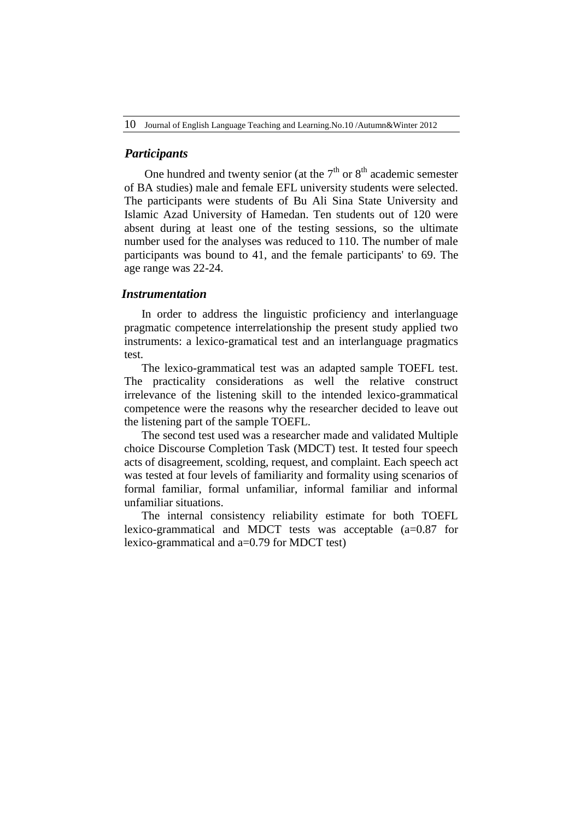## *Participants*

One hundred and twenty senior (at the  $7<sup>th</sup>$  or  $8<sup>th</sup>$  academic semester of BA studies) male and female EFL university students were selected. The participants were students of Bu Ali Sina State University and Islamic Azad University of Hamedan. Ten students out of 120 were absent during at least one of the testing sessions, so the ultimate number used for the analyses was reduced to 110. The number of male participants was bound to 41, and the female participants' to 69. The age range was 22-24.

# *Instrumentation*

In order to address the linguistic proficiency and interlanguage pragmatic competence interrelationship the present study applied two instruments: a lexico-gramatical test and an interlanguage pragmatics test.

The lexico-grammatical test was an adapted sample TOEFL test. The practicality considerations as well the relative construct irrelevance of the listening skill to the intended lexico-grammatical competence were the reasons why the researcher decided to leave out the listening part of the sample TOEFL.

The second test used was a researcher made and validated Multiple choice Discourse Completion Task (MDCT) test. It tested four speech acts of disagreement, scolding, request, and complaint. Each speech act was tested at four levels of familiarity and formality using scenarios of formal familiar, formal unfamiliar, informal familiar and informal unfamiliar situations.

The internal consistency reliability estimate for both TOEFL lexico-grammatical and MDCT tests was acceptable (a=0.87 for lexico-grammatical and a=0.79 for MDCT test)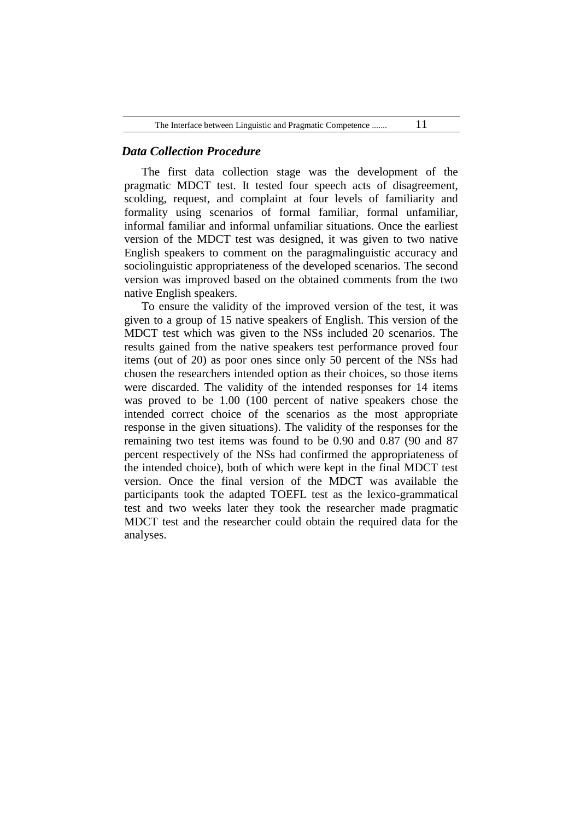| The Interface between Linguistic and Pragmatic Competence |  |  |
|-----------------------------------------------------------|--|--|
|-----------------------------------------------------------|--|--|

# *Data Collection Procedure*

The first data collection stage was the development of the pragmatic MDCT test. It tested four speech acts of disagreement, scolding, request, and complaint at four levels of familiarity and formality using scenarios of formal familiar, formal unfamiliar, informal familiar and informal unfamiliar situations. Once the earliest version of the MDCT test was designed, it was given to two native English speakers to comment on the paragmalinguistic accuracy and sociolinguistic appropriateness of the developed scenarios. The second version was improved based on the obtained comments from the two native English speakers.

To ensure the validity of the improved version of the test, it was given to a group of 15 native speakers of English. This version of the MDCT test which was given to the NSs included 20 scenarios. The results gained from the native speakers test performance proved four items (out of 20) as poor ones since only 50 percent of the NSs had chosen the researchers intended option as their choices, so those items were discarded. The validity of the intended responses for 14 items was proved to be 1.00 (100 percent of native speakers chose the intended correct choice of the scenarios as the most appropriate response in the given situations). The validity of the responses for the remaining two test items was found to be 0.90 and 0.87 (90 and 87 percent respectively of the NSs had confirmed the appropriateness of the intended choice), both of which were kept in the final MDCT test version. Once the final version of the MDCT was available the participants took the adapted TOEFL test as the lexico-grammatical test and two weeks later they took the researcher made pragmatic MDCT test and the researcher could obtain the required data for the analyses.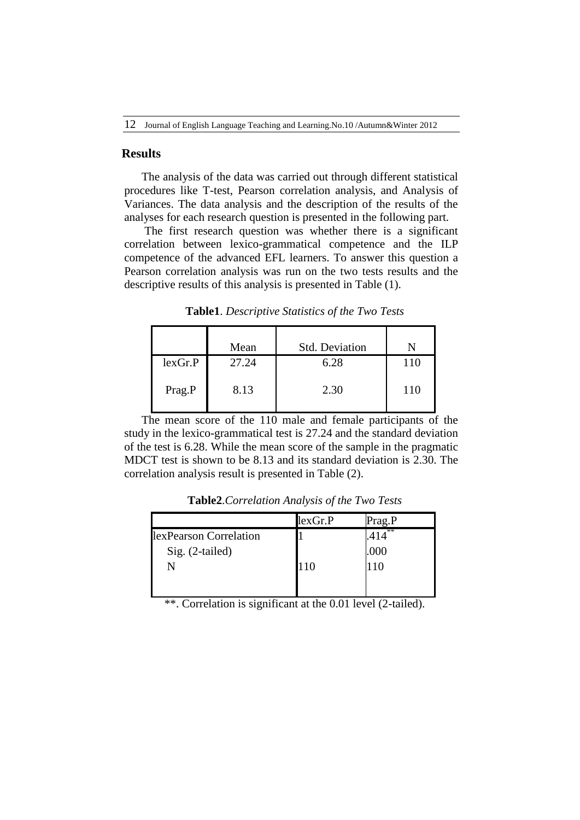#### **Results**

The analysis of the data was carried out through different statistical procedures like T-test, Pearson correlation analysis, and Analysis of Variances. The data analysis and the description of the results of the analyses for each research question is presented in the following part.

The first research question was whether there is a significant correlation between lexico-grammatical competence and the ILP competence of the advanced EFL learners. To answer this question a Pearson correlation analysis was run on the two tests results and the descriptive results of this analysis is presented in Table (1).

**Table1**. *Descriptive Statistics of the Two Tests*

|         | Mean  | <b>Std. Deviation</b> |     |
|---------|-------|-----------------------|-----|
| lexGr.P | 27.24 | 6.28                  |     |
| Prag.P  | 8.13  | 2.30                  | 110 |

The mean score of the 110 male and female participants of the study in the lexico-grammatical test is 27.24 and the standard deviation of the test is 6.28. While the mean score of the sample in the pragmatic MDCT test is shown to be 8.13 and its standard deviation is 2.30. The correlation analysis result is presented in Table (2).

|     | . 冰冰 |
|-----|------|
|     | .000 |
| 110 |      |
|     |      |
|     |      |

**Table2**.*Correlation Analysis of the Two Tests*

\*\*. Correlation is significant at the 0.01 level (2-tailed).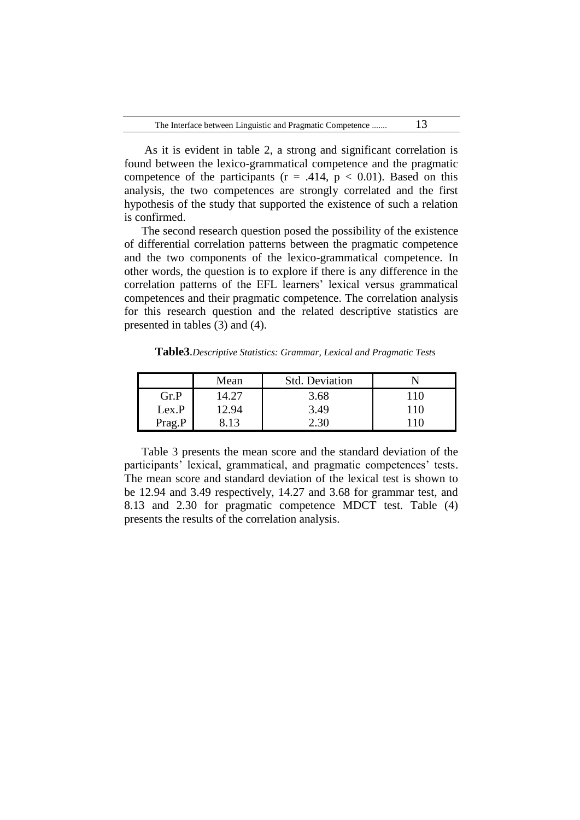As it is evident in table 2, a strong and significant correlation is found between the lexico-grammatical competence and the pragmatic competence of the participants ( $r = .414$ ,  $p < 0.01$ ). Based on this analysis, the two competences are strongly correlated and the first hypothesis of the study that supported the existence of such a relation is confirmed.

The second research question posed the possibility of the existence of differential correlation patterns between the pragmatic competence and the two components of the lexico-grammatical competence. In other words, the question is to explore if there is any difference in the correlation patterns of the EFL learners' lexical versus grammatical competences and their pragmatic competence. The correlation analysis for this research question and the related descriptive statistics are presented in tables (3) and (4).

**Table3**.*Descriptive Statistics: Grammar, Lexical and Pragmatic Tests*

|        | Mean  | <b>Std. Deviation</b> |     |
|--------|-------|-----------------------|-----|
| Gr.P   | 14.27 | 3.68                  | 110 |
| Lex.P  | 12.94 | 3.49                  | 110 |
| Prag.P |       |                       | 10  |

Table 3 presents the mean score and the standard deviation of the participants' lexical, grammatical, and pragmatic competences' tests. The mean score and standard deviation of the lexical test is shown to be 12.94 and 3.49 respectively, 14.27 and 3.68 for grammar test, and 8.13 and 2.30 for pragmatic competence MDCT test. Table (4) presents the results of the correlation analysis.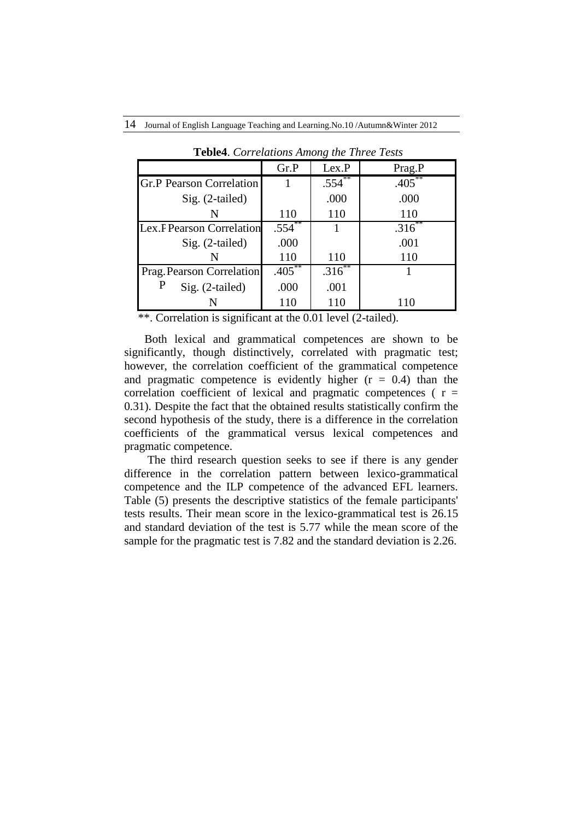|                                  | Gr.P      | Lex.P       | Prag.P      |
|----------------------------------|-----------|-------------|-------------|
| <b>Gr.P Pearson Correlation</b>  |           | $.554^{**}$ | $.405***$   |
| $Sig. (2-tailed)$                |           | .000        | .000        |
| N                                | 110       | 110         | 110         |
| <b>Lex.F Pearson Correlation</b> | .554      |             | $.316^{**}$ |
| Sig. (2-tailed)                  | .000      |             | .001        |
| N                                | 110       | 110         | 110         |
| Prag. Pearson Correlation        | $.405***$ | $.316^{**}$ |             |
| Sig. (2-tailed)                  | .000      | .001        |             |
| N                                | 110       | 110         | 110         |

**Teble4**. *Correlations Among the Three Tests*

\*\*. Correlation is significant at the 0.01 level (2-tailed).

Both lexical and grammatical competences are shown to be significantly, though distinctively, correlated with pragmatic test; however, the correlation coefficient of the grammatical competence and pragmatic competence is evidently higher  $(r = 0.4)$  than the correlation coefficient of lexical and pragmatic competences ( $r =$ 0.31). Despite the fact that the obtained results statistically confirm the second hypothesis of the study, there is a difference in the correlation coefficients of the grammatical versus lexical competences and pragmatic competence.

 The third research question seeks to see if there is any gender difference in the correlation pattern between lexico-grammatical competence and the ILP competence of the advanced EFL learners. Table (5) presents the descriptive statistics of the female participants' tests results. Their mean score in the lexico-grammatical test is 26.15 and standard deviation of the test is 5.77 while the mean score of the sample for the pragmatic test is 7.82 and the standard deviation is 2.26.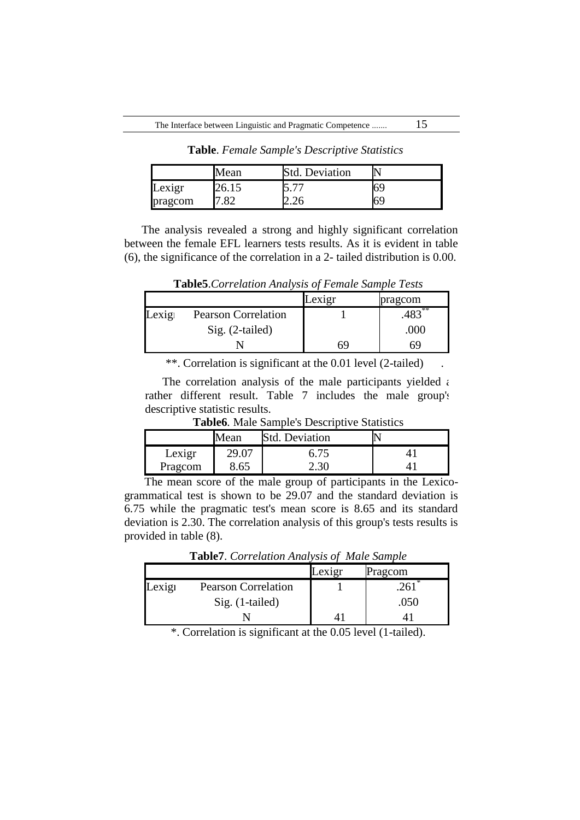|         | Mean  | <b>Std. Deviation</b> |    |
|---------|-------|-----------------------|----|
| Lexigr  | 26.15 | $\overline{ }$        | 69 |
| pragcom | 82    | 4.ZU                  | 69 |

**Table**. *Female Sample's Descriptive Statistics*

The analysis revealed a strong and highly significant correlation between the female EFL learners tests results. As it is evident in table (6), the significance of the correlation in a 2- tailed distribution is 0.00.

Lexigr pragcom Lexign Pearson Correlation 1 1 .483<sup>\*</sup> Sig. (2-tailed) .000 N 69 69

**Table5**.*Correlation Analysis of Female Sample Tests*

\*\*. Correlation is significant at the 0.01 level (2-tailed)

The correlation analysis of the male participants yielded  $\epsilon$ rather different result. Table 7 includes the male group's descriptive statistic results.

**Table6***.* Male Sample's Descriptive Statistics

|         | Mean | <b>Std. Deviation</b> |  |
|---------|------|-----------------------|--|
| Lexigr  | 29.0 | 6.75                  |  |
| Pragcom | 8.65 | $-0.30$               |  |

The mean score of the male group of participants in the Lexicogrammatical test is shown to be 29.07 and the standard deviation is 6.75 while the pragmatic test's mean score is 8.65 and its standard deviation is 2.30. The correlation analysis of this group's tests results is provided in table (8).

Lexigr Pragcom Lexign Pearson Correlation 1 1 .261 Sig. (1-tailed) .050

**Table7**. *Correlation Analysis of Male Sample*

\*. Correlation is significant at the 0.05 level (1-tailed).

N 41 41 41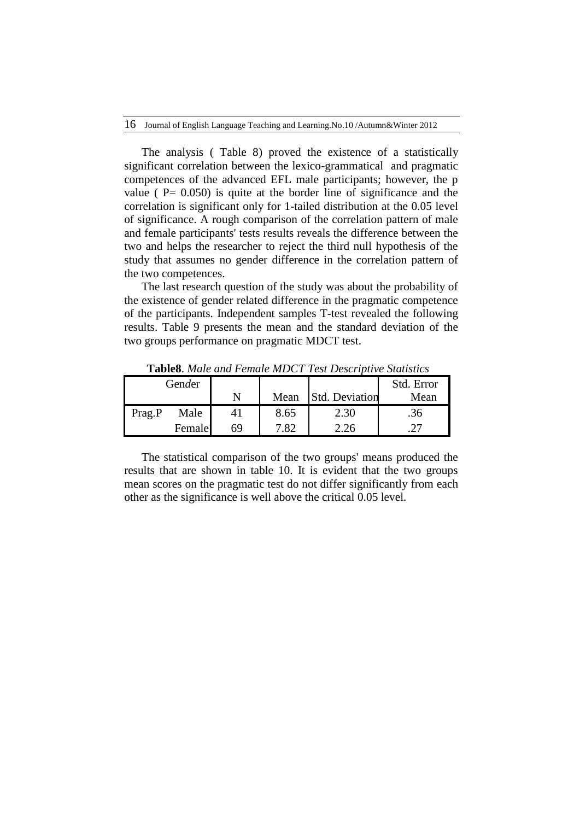The analysis ( Table 8) proved the existence of a statistically significant correlation between the lexico-grammatical and pragmatic competences of the advanced EFL male participants; however, the p value ( $P = 0.050$ ) is quite at the border line of significance and the correlation is significant only for 1-tailed distribution at the 0.05 level of significance. A rough comparison of the correlation pattern of male and female participants' tests results reveals the difference between the two and helps the researcher to reject the third null hypothesis of the study that assumes no gender difference in the correlation pattern of the two competences.

The last research question of the study was about the probability of the existence of gender related difference in the pragmatic competence of the participants. Independent samples T-test revealed the following results. Table 9 presents the mean and the standard deviation of the two groups performance on pragmatic MDCT test.

| Gender |        |    |      |                       | Std. Error |
|--------|--------|----|------|-----------------------|------------|
|        |        |    | Mean | <b>Std. Deviation</b> | Mean       |
| Prag.P | Male   |    | 8.65 | 2.30                  | .36        |
|        | Female | 69 | 7 82 | 26                    |            |

**Table8**. *Male and Female MDCT Test Descriptive Statistics*

The statistical comparison of the two groups' means produced the results that are shown in table 10. It is evident that the two groups mean scores on the pragmatic test do not differ significantly from each other as the significance is well above the critical 0.05 level.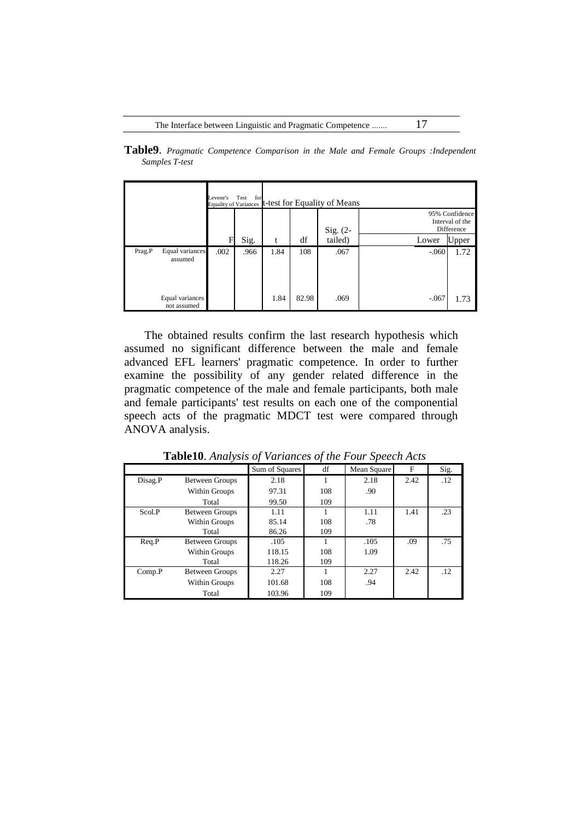|                |  |  |  | Table9. Pragmatic Competence Comparison in the Male and Female Groups : Independent |
|----------------|--|--|--|-------------------------------------------------------------------------------------|
| Samples T-test |  |  |  |                                                                                     |
|                |  |  |  |                                                                                     |

|        |                                | Levene's<br><b>Equality of Variances</b> | for<br>Test |      |       | t-test for Equality of Means |         |                                                 |
|--------|--------------------------------|------------------------------------------|-------------|------|-------|------------------------------|---------|-------------------------------------------------|
|        |                                |                                          |             |      |       | Sig. $(2-$                   |         | 95% Confidence<br>Interval of the<br>Difference |
|        |                                | F                                        | Sig.        | t    | df    | tailed)                      | Lower   | Upper                                           |
| Prag.P | Equal variances<br>assumed     | .002                                     | .966        | 1.84 | 108   | .067                         | $-.060$ | 1.72                                            |
|        | Equal variances<br>not assumed |                                          |             | 1.84 | 82.98 | .069                         | $-.067$ | 1.73                                            |

The obtained results confirm the last research hypothesis which assumed no significant difference between the male and female advanced EFL learners' pragmatic competence. In order to further examine the possibility of any gender related difference in the pragmatic competence of the male and female participants, both male and female participants' test results on each one of the componential speech acts of the pragmatic MDCT test were compared through ANOVA analysis.

|         |                       | Sum of Squares | df  | Mean Square | F    | Sig. |
|---------|-----------------------|----------------|-----|-------------|------|------|
| Disag.P | <b>Between Groups</b> | 2.18           |     | 2.18        | 2.42 | .12  |
|         | Within Groups         | 97.31          | 108 | .90         |      |      |
|         | Total                 | 99.50          | 109 |             |      |      |
| Scol.P  | <b>Between Groups</b> | 1.11           |     | 1.11        | 1.41 | .23  |
|         | Within Groups         | 85.14          | 108 | .78         |      |      |
|         | Total                 | 86.26          | 109 |             |      |      |
| Req.P   | <b>Between Groups</b> | .105           |     | .105        | .09  | .75  |
|         | Within Groups         | 118.15         | 108 | 1.09        |      |      |
|         | Total                 | 118.26         | 109 |             |      |      |
| Comp.P  | <b>Between Groups</b> | 2.27           |     | 2.27        | 2.42 | .12  |
|         | Within Groups         | 101.68         | 108 | .94         |      |      |
|         | Total                 | 103.96         | 109 |             |      |      |

**Table10**. *Analysis of Variances of the Four Speech Acts*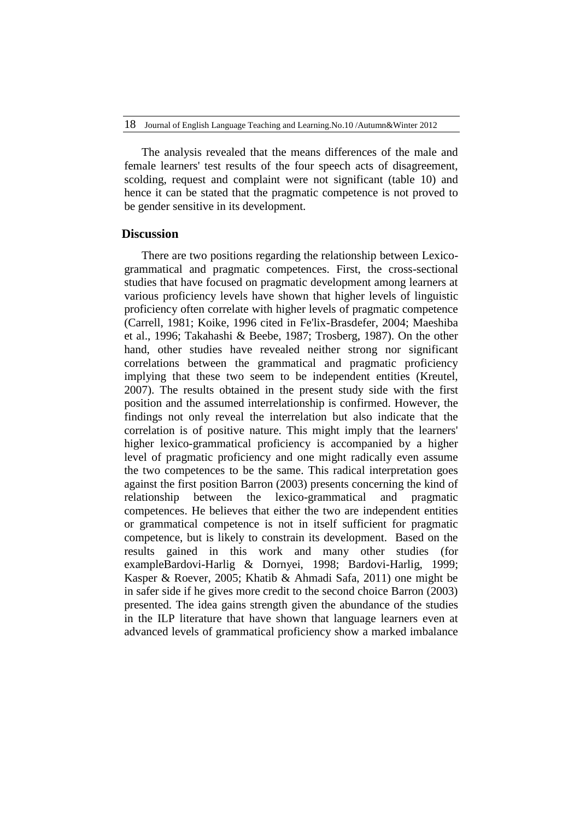The analysis revealed that the means differences of the male and female learners' test results of the four speech acts of disagreement, scolding, request and complaint were not significant (table 10) and hence it can be stated that the pragmatic competence is not proved to be gender sensitive in its development.

## **Discussion**

There are two positions regarding the relationship between Lexicogrammatical and pragmatic competences. First, the cross-sectional studies that have focused on pragmatic development among learners at various proficiency levels have shown that higher levels of linguistic proficiency often correlate with higher levels of pragmatic competence (Carrell, 1981; Koike, 1996 cited in Fe'lix-Brasdefer, 2004; Maeshiba et al., 1996; Takahashi & Beebe, 1987; Trosberg, 1987). On the other hand, other studies have revealed neither strong nor significant correlations between the grammatical and pragmatic proficiency implying that these two seem to be independent entities (Kreutel, 2007). The results obtained in the present study side with the first position and the assumed interrelationship is confirmed. However, the findings not only reveal the interrelation but also indicate that the correlation is of positive nature. This might imply that the learners' higher lexico-grammatical proficiency is accompanied by a higher level of pragmatic proficiency and one might radically even assume the two competences to be the same. This radical interpretation goes against the first position Barron (2003) presents concerning the kind of relationship between the lexico-grammatical and pragmatic competences. He believes that either the two are independent entities or grammatical competence is not in itself sufficient for pragmatic competence, but is likely to constrain its development. Based on the results gained in this work and many other studies (for exampleBardovi-Harlig & Dornyei, 1998; Bardovi-Harlig, 1999; Kasper & Roever, 2005; Khatib & Ahmadi Safa, 2011) one might be in safer side if he gives more credit to the second choice Barron (2003) presented. The idea gains strength given the abundance of the studies in the ILP literature that have shown that language learners even at advanced levels of grammatical proficiency show a marked imbalance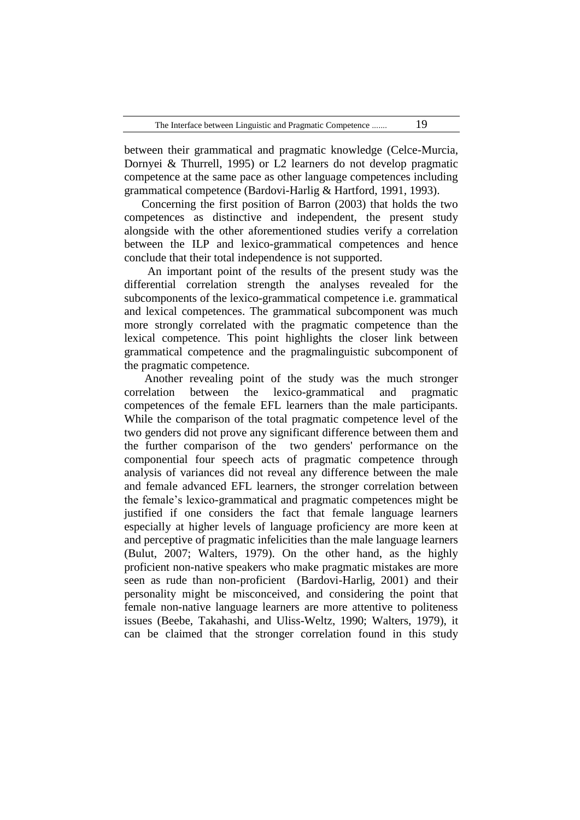between their grammatical and pragmatic knowledge (Celce-Murcia, Dornyei & Thurrell, 1995) or L2 learners do not develop pragmatic competence at the same pace as other language competences including grammatical competence (Bardovi-Harlig & Hartford, 1991, 1993).

Concerning the first position of Barron (2003) that holds the two competences as distinctive and independent, the present study alongside with the other aforementioned studies verify a correlation between the ILP and lexico-grammatical competences and hence conclude that their total independence is not supported.

 An important point of the results of the present study was the differential correlation strength the analyses revealed for the subcomponents of the lexico-grammatical competence i.e. grammatical and lexical competences. The grammatical subcomponent was much more strongly correlated with the pragmatic competence than the lexical competence. This point highlights the closer link between grammatical competence and the pragmalinguistic subcomponent of the pragmatic competence.

Another revealing point of the study was the much stronger correlation between the lexico-grammatical and pragmatic competences of the female EFL learners than the male participants. While the comparison of the total pragmatic competence level of the two genders did not prove any significant difference between them and the further comparison of the two genders' performance on the componential four speech acts of pragmatic competence through analysis of variances did not reveal any difference between the male and female advanced EFL learners, the stronger correlation between the female's lexico-grammatical and pragmatic competences might be justified if one considers the fact that female language learners especially at higher levels of language proficiency are more keen at and perceptive of pragmatic infelicities than the male language learners (Bulut, 2007; Walters, 1979). On the other hand, as the highly proficient non-native speakers who make pragmatic mistakes are more seen as rude than non-proficient (Bardovi-Harlig, 2001) and their personality might be misconceived, and considering the point that female non-native language learners are more attentive to politeness issues (Beebe, Takahashi, and Uliss-Weltz, 1990; Walters, 1979), it can be claimed that the stronger correlation found in this study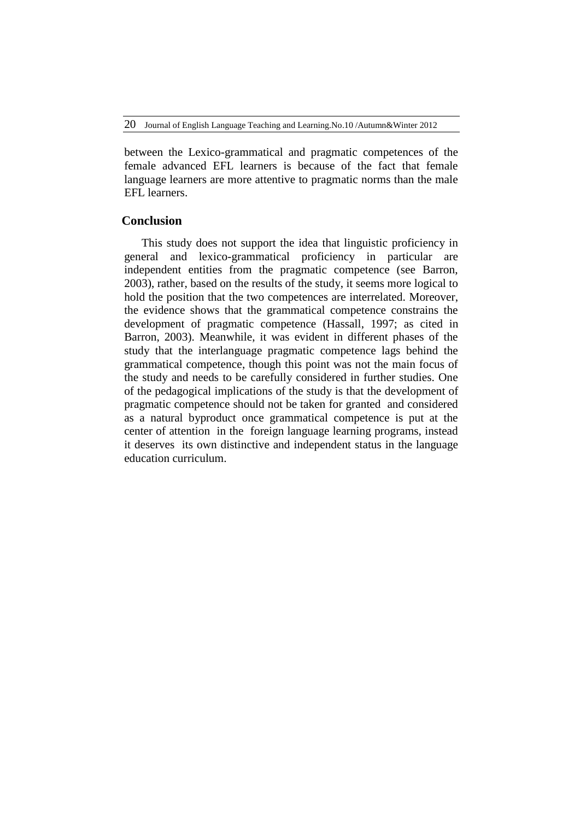between the Lexico-grammatical and pragmatic competences of the female advanced EFL learners is because of the fact that female language learners are more attentive to pragmatic norms than the male EFL learners.

# **Conclusion**

This study does not support the idea that linguistic proficiency in general and lexico-grammatical proficiency in particular are independent entities from the pragmatic competence (see Barron, 2003), rather, based on the results of the study, it seems more logical to hold the position that the two competences are interrelated. Moreover, the evidence shows that the grammatical competence constrains the development of pragmatic competence (Hassall, 1997; as cited in Barron, 2003). Meanwhile, it was evident in different phases of the study that the interlanguage pragmatic competence lags behind the grammatical competence, though this point was not the main focus of the study and needs to be carefully considered in further studies. One of the pedagogical implications of the study is that the development of pragmatic competence should not be taken for granted and considered as a natural byproduct once grammatical competence is put at the center of attention in the foreign language learning programs, instead it deserves its own distinctive and independent status in the language education curriculum.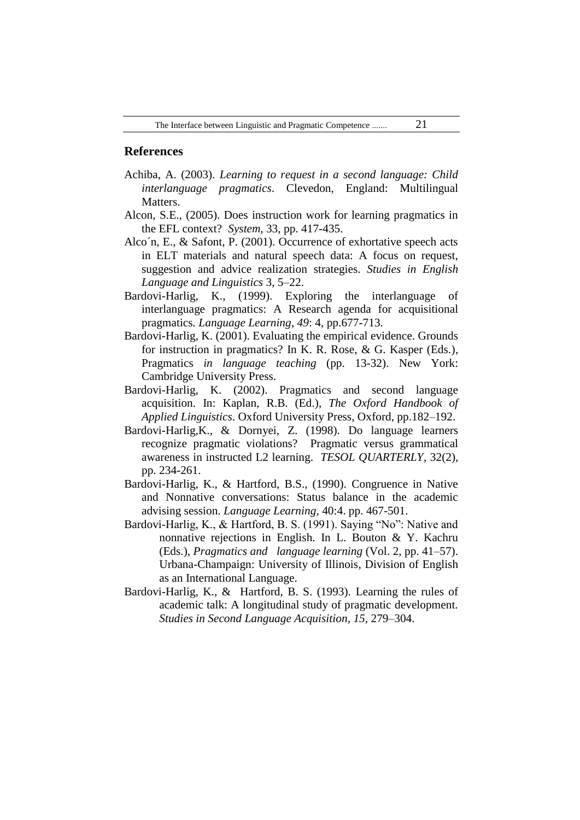# **References**

- Achiba, A. (2003). *Learning to request in a second language: Child interlanguage pragmatics*. Clevedon, England: Multilingual Matters.
- Alcon, S.E., (2005). Does instruction work for learning pragmatics in the EFL context? *System*, 33, pp. 417-435.
- Alco´n, E., & Safont, P. (2001). Occurrence of exhortative speech acts in ELT materials and natural speech data: A focus on request, suggestion and advice realization strategies. *Studies in English Language and Linguistics* 3, 5–22.
- Bardovi-Harlig, K., (1999). Exploring the interlanguage of interlanguage pragmatics: A Research agenda for acquisitional pragmatics*. Language Learning*, *49*: 4, pp.677-713.
- Bardovi-Harlig, K. (2001). Evaluating the empirical evidence. Grounds for instruction in pragmatics? In K. R. Rose, & G. Kasper (Eds.), Pragmatics *in language teaching* (pp. 13-32). New York: Cambridge University Press.
- Bardovi-Harlig, K. (2002). Pragmatics and second language acquisition. In: Kaplan, R.B. (Ed.), *The Oxford Handbook of Applied Linguistics*. Oxford University Press, Oxford, pp.182–192.
- Bardovi-Harlig,K., & Dornyei, Z. (1998). Do language learners recognize pragmatic violations? Pragmatic versus grammatical awareness in instructed L2 learning. *TESOL QUARTERLY*, 32(2), pp. 234-261.
- Bardovi-Harlig, K., & Hartford, B.S., (1990). Congruence in Native and Nonnative conversations: Status balance in the academic advising session. *Language Learning,* 40:4. pp. 467-501.
- Bardovi-Harlig, K., & Hartford, B. S. (1991). Saying "No": Native and nonnative rejections in English. In L. Bouton & Y. Kachru (Eds.), *Pragmatics and language learning* (Vol. 2, pp. 41–57). Urbana-Champaign: University of Illinois, Division of English as an International Language.
- Bardovi-Harlig, K., & Hartford, B. S. (1993). Learning the rules of academic talk: A longitudinal study of pragmatic development. *Studies in Second Language Acquisition, 15,* 279–304.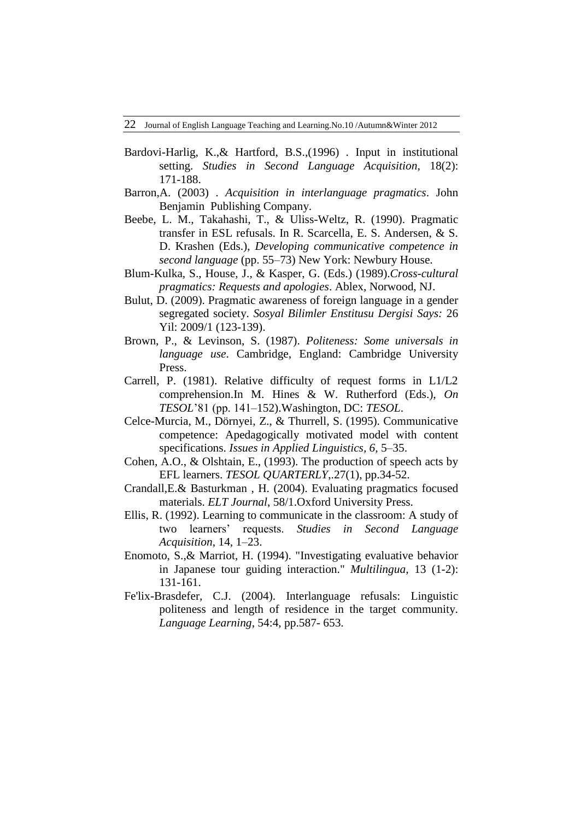- Bardovi-Harlig, K.,& Hartford, B.S.,(1996) . Input in institutional setting. *Studies in Second Language Acquisition*, 18(2): 171-188.
- Barron,A. (2003) . *Acquisition in interlanguage pragmatics*. John Benjamin Publishing Company.
- Beebe, L. M., Takahashi, T., & Uliss-Weltz, R. (1990). Pragmatic transfer in ESL refusals. In R. Scarcella, E. S. Andersen, & S. D. Krashen (Eds.), *Developing communicative competence in second language* (pp. 55–73) New York: Newbury House.
- Blum-Kulka, S., House, J., & Kasper, G. (Eds.) (1989).*Cross-cultural pragmatics: Requests and apologies*. Ablex, Norwood, NJ.
- Bulut, D. (2009). Pragmatic awareness of foreign language in a gender segregated society. *Sosyal Bilimler Enstitusu Dergisi Says:* 26 Yil: 2009/1 (123-139).
- Brown, P., & Levinson, S. (1987). *Politeness: Some universals in language use*. Cambridge, England: Cambridge University Press.
- Carrell, P. (1981). Relative difficulty of request forms in L1/L2 comprehension.In M. Hines & W. Rutherford (Eds.), *On TESOL*'81 (pp. 141–152).Washington, DC: *TESOL*.
- Celce-Murcia, M., Dörnyei, Z., & Thurrell, S. (1995). Communicative competence: Apedagogically motivated model with content specifications. *Issues in Applied Linguistics, 6,* 5–35.
- Cohen, A.O., & Olshtain, E., (1993). The production of speech acts by EFL learners. *TESOL QUARTERLY*,.27(1), pp.34-52.
- Crandall,E.& Basturkman , H. (2004). Evaluating pragmatics focused materials. *ELT Journal*, 58/1.Oxford University Press.
- Ellis, R. (1992). Learning to communicate in the classroom: A study of two learners' requests. *Studies in Second Language Acquisition*, 14, 1–23.
- Enomoto, S.,& Marriot, H. (1994). "Investigating evaluative behavior in Japanese tour guiding interaction." *Multilingua*, 13 (1-2): 131-161.
- Fe'lix-Brasdefer, C.J. (2004). Interlanguage refusals: Linguistic politeness and length of residence in the target community. *Language Learning*, 54:4, pp.587- 653.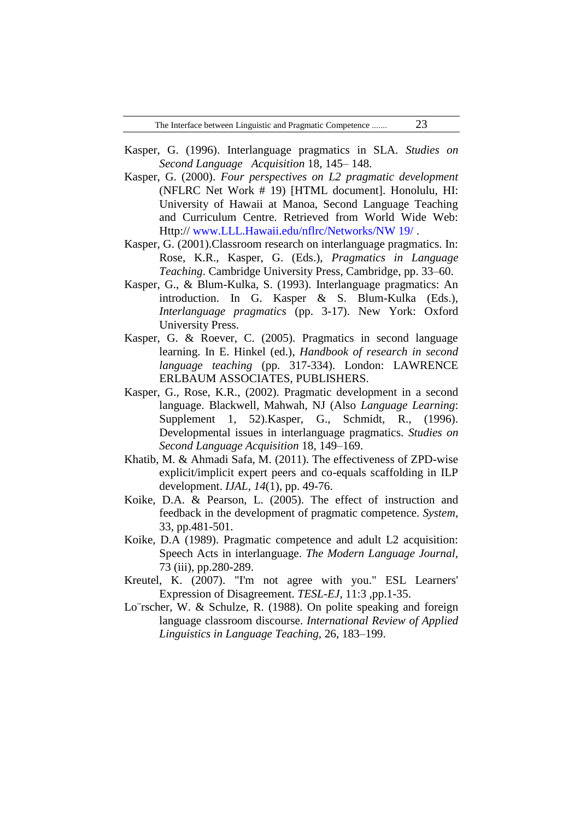- Kasper, G. (1996). Interlanguage pragmatics in SLA. *Studies on Second Language Acquisition* 18, 145– 148.
- Kasper, G. (2000). *Four perspectives on L2 pragmatic development* (NFLRC Net Work # 19) [HTML document]. Honolulu, HI: University of Hawaii at Manoa, Second Language Teaching and Curriculum Centre. Retrieved from World Wide Web: Http:// [www.LLL.Hawaii.edu/nflrc/Networks/NW 19/](http://www.lll.hawaii.edu/nflrc/Networks/NW%2019/) .
- Kasper, G. (2001).Classroom research on interlanguage pragmatics. In: Rose, K.R., Kasper, G. (Eds.), *Pragmatics in Language Teaching*. Cambridge University Press, Cambridge, pp. 33–60.
- Kasper, G., & Blum-Kulka, S. (1993). Interlanguage pragmatics: An introduction. In G. Kasper & S. Blum-Kulka (Eds.), *Interlanguage pragmatics* (pp. 3-17). New York: Oxford University Press.
- Kasper, G. & Roever, C. (2005). Pragmatics in second language learning. In E. Hinkel (ed.), *Handbook of research in second language teaching* (pp. 317-334). London: LAWRENCE ERLBAUM ASSOCIATES, PUBLISHERS.
- Kasper, G., Rose, K.R., (2002). Pragmatic development in a second language. Blackwell, Mahwah, NJ (Also *Language Learning*: Supplement 1, 52).Kasper, G., Schmidt, R., (1996). Developmental issues in interlanguage pragmatics. *Studies on Second Language Acquisition* 18, 149–169.
- Khatib, M. & Ahmadi Safa, M. (2011). The effectiveness of ZPD-wise explicit/implicit expert peers and co-equals scaffolding in ILP development. *IJAL, 14*(1), pp. 49-76.
- Koike, D.A. & Pearson, L. (2005). The effect of instruction and feedback in the development of pragmatic competence. *System*, 33, pp.481-501.
- Koike, D.A (1989). Pragmatic competence and adult L2 acquisition: Speech Acts in interlanguage. *The Modern Language Journal,* 73 (iii), pp.280-289.
- Kreutel, K. (2007). "I'm not agree with you." ESL Learners' Expression of Disagreement. *TESL-EJ*, 11:3 ,pp.1-35.
- Lo¨rscher, W. & Schulze, R. (1988). On polite speaking and foreign language classroom discourse. *International Review of Applied Linguistics in Language Teaching,* 26, 183–199.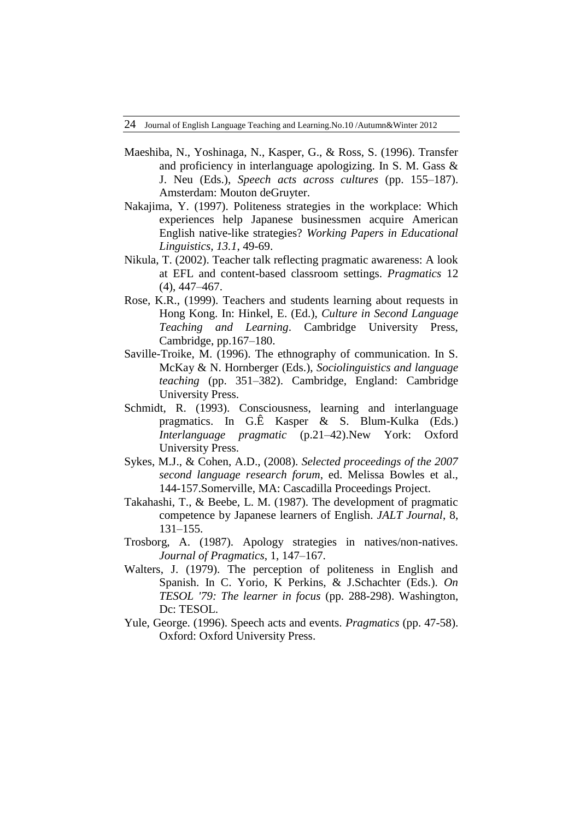- Maeshiba, N., Yoshinaga, N., Kasper, G., & Ross, S. (1996). Transfer and proficiency in interlanguage apologizing. In S. M. Gass & J. Neu (Eds.), *Speech acts across cultures* (pp. 155–187). Amsterdam: Mouton deGruyter.
- Nakajima, Y. (1997). Politeness strategies in the workplace: Which experiences help Japanese businessmen acquire American English native-like strategies? *Working Papers in Educational Linguistics, 13.1*, 49-69.
- Nikula, T. (2002). Teacher talk reflecting pragmatic awareness: A look at EFL and content-based classroom settings. *Pragmatics* 12 (4), 447–467.
- Rose, K.R., (1999). Teachers and students learning about requests in Hong Kong. In: Hinkel, E. (Ed.), *Culture in Second Language Teaching and Learning*. Cambridge University Press, Cambridge, pp.167–180.
- Saville-Troike, M. (1996). The ethnography of communication. In S. McKay & N. Hornberger (Eds.), *Sociolinguistics and language teaching* (pp. 351–382). Cambridge, England: Cambridge University Press.
- Schmidt, R. (1993). Consciousness, learning and interlanguage pragmatics. In G.Ê Kasper & S. Blum-Kulka (Eds.) *Interlanguage pragmatic* (p.21–42).New York: Oxford University Press.
- Sykes, M.J., & Cohen, A.D., (2008). *Selected proceedings of the 2007 second language research forum*, ed. Melissa Bowles et al., 144-157.Somerville, MA: Cascadilla Proceedings Project.
- Takahashi, T., & Beebe, L. M. (1987). The development of pragmatic competence by Japanese learners of English. *JALT Journal*, 8, 131–155.
- Trosborg, A. (1987). Apology strategies in natives/non-natives. *Journal of Pragmatics*, 1, 147–167.
- Walters, J. (1979). The perception of politeness in English and Spanish. In C. Yorio, K Perkins, & J.Schachter (Eds.). *On TESOL '79: The learner in focus* (pp. 288-298). Washington, Dc: TESOL.
- Yule, George. (1996). Speech acts and events. *Pragmatics* (pp. 47-58). Oxford: Oxford University Press.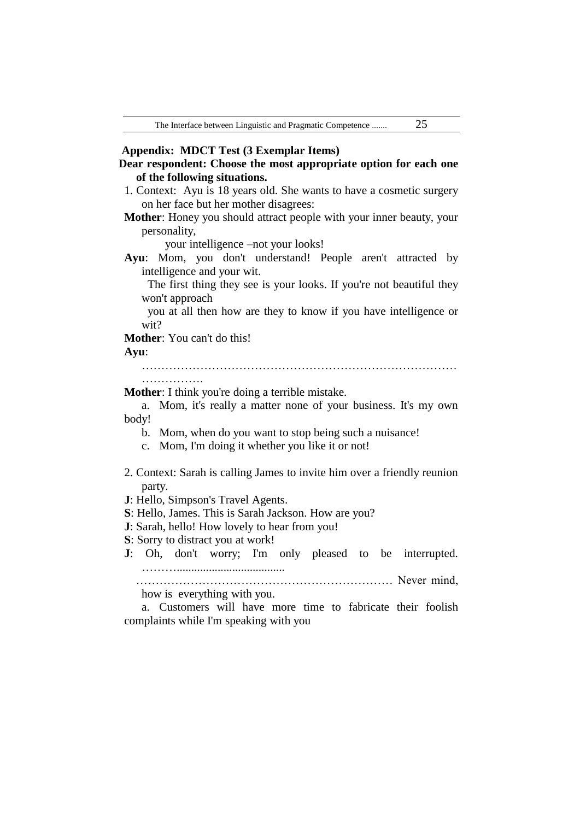| Dear respondent: Choose the most appropriate option for each one |  |  |  |
|------------------------------------------------------------------|--|--|--|
| of the following situations.                                     |  |  |  |

- 1. Context: Ayu is 18 years old. She wants to have a cosmetic surgery on her face but her mother disagrees:
- **Mother**: Honey you should attract people with your inner beauty, your personality,

your intelligence –not your looks!

**Ayu**: Mom, you don't understand! People aren't attracted by intelligence and your wit.

 The first thing they see is your looks. If you're not beautiful they won't approach

 you at all then how are they to know if you have intelligence or wit?

**Mother**: You can't do this!

#### **Ayu**:

……………………………………………………………………… …………….

**Mother**: I think you're doing a terrible mistake.

a. Mom, it's really a matter none of your business. It's my own body!

- b. Mom, when do you want to stop being such a nuisance!
- c. Mom, I'm doing it whether you like it or not!
- 2. Context: Sarah is calling James to invite him over a friendly reunion party.
- **J**: Hello, Simpson's Travel Agents.
- **S**: Hello, James. This is Sarah Jackson. How are you?
- **J**: Sarah, hello! How lovely to hear from you!
- **S**: Sorry to distract you at work!
- **J**: Oh, don't worry; I'm only pleased to be interrupted. ……….....................................

 ………………………………………………………… Never mind, how is everything with you.

a. Customers will have more time to fabricate their foolish complaints while I'm speaking with you